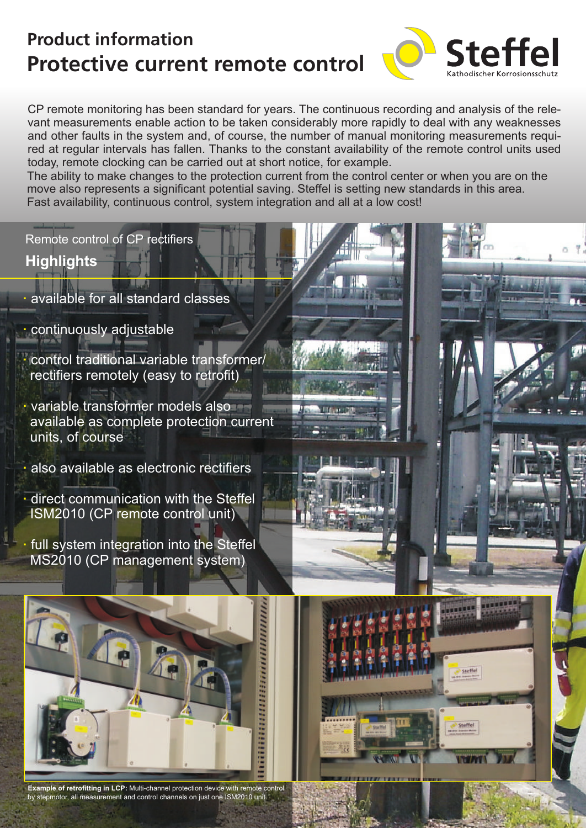# **Protective current remote control Product information**



CP remote monitoring has been standard for years. The continuous recording and analysis of the relevant measurements enable action to be taken considerably more rapidly to deal with any weaknesses and other faults in the system and, of course, the number of manual monitoring measurements required at regular intervals has fallen. Thanks to the constant availability of the remote control units used today, remote clocking can be carried out at short notice, for example.

The ability to make changes to the protection current from the control center or when you are on the move also represents a significant potential saving. Steffel is setting new standards in this area. Fast availability, continuous control, system integration and all at a low cost!

Remote control of CP rectifiers

**Highlights**

- available for all standard classes
- **·** continuously adjustable
- **·**  control traditional variable transformer/ rectifiers remotely (easy to retrofit)
- **·** variable transformer models also available as complete protection current units, of course
- **·** also available as electronic rectifiers
- **·** direct communication with the Steffel ISM2010 (CP remote control unit)
- full system integration into the Steffel MS2010 (CP management system)



**Example of retrofitting in LCP:** Multi-channel protection device with remote control by stepmotor, all measurement and control channels on just one ISM2010 unit.